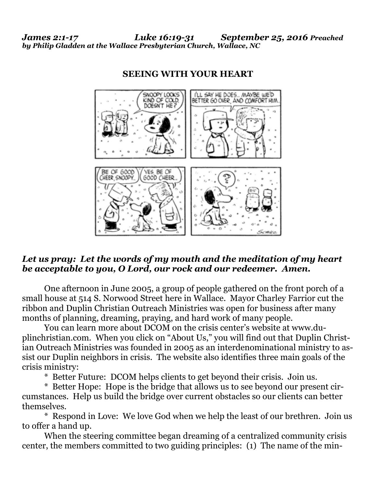*James 2:1-17 Luke 16:19-31 September 25, 2016 Preached by Philip Gladden at the Wallace Presbyterian Church, Wallace, NC* 



## **SEEING WITH YOUR HEART**

## *Let us pray: Let the words of my mouth and the meditation of my heart be acceptable to you, O Lord, our rock and our redeemer. Amen.*

One afternoon in June 2005, a group of people gathered on the front porch of a small house at 514 S. Norwood Street here in Wallace. Mayor Charley Farrior cut the ribbon and Duplin Christian Outreach Ministries was open for business after many months of planning, dreaming, praying, and hard work of many people.

 [You can learn more about DCOM on the crisis center's website at www.du](http://www.duplinchristian.com)plinchristian.com. When you click on "About Us," you will find out that Duplin Christian Outreach Ministries was founded in 2005 as an interdenominational ministry to assist our Duplin neighbors in crisis. The website also identifies three main goals of the crisis ministry:

\* Better Future: DCOM helps clients to get beyond their crisis. Join us.

 \* Better Hope: Hope is the bridge that allows us to see beyond our present circumstances. Help us build the bridge over current obstacles so our clients can better themselves.

 \* Respond in Love: We love God when we help the least of our brethren. Join us to offer a hand up.

 When the steering committee began dreaming of a centralized community crisis center, the members committed to two guiding principles: (1) The name of the min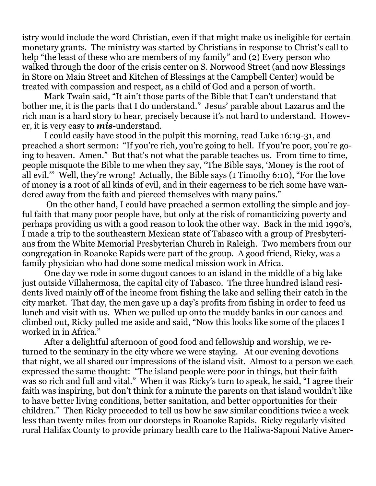istry would include the word Christian, even if that might make us ineligible for certain monetary grants. The ministry was started by Christians in response to Christ's call to help "the least of these who are members of my family" and (2) Every person who walked through the door of the crisis center on S. Norwood Street (and now Blessings in Store on Main Street and Kitchen of Blessings at the Campbell Center) would be treated with compassion and respect, as a child of God and a person of worth.

 Mark Twain said, "It ain't those parts of the Bible that I can't understand that bother me, it is the parts that I do understand." Jesus' parable about Lazarus and the rich man is a hard story to hear, precisely because it's not hard to understand. However, it is very easy to *mis*-understand.

 I could easily have stood in the pulpit this morning, read Luke 16:19-31, and preached a short sermon: "If you're rich, you're going to hell. If you're poor, you're going to heaven. Amen." But that's not what the parable teaches us. From time to time, people misquote the Bible to me when they say, "The Bible says, 'Money is the root of all evil.'" Well, they're wrong! Actually, the Bible says (1 Timothy 6:10), "For the love of money is a root of all kinds of evil, and in their eagerness to be rich some have wandered away from the faith and pierced themselves with many pains."

 On the other hand, I could have preached a sermon extolling the simple and joyful faith that many poor people have, but only at the risk of romanticizing poverty and perhaps providing us with a good reason to look the other way. Back in the mid 1990's, I made a trip to the southeastern Mexican state of Tabasco with a group of Presbyterians from the White Memorial Presbyterian Church in Raleigh. Two members from our congregation in Roanoke Rapids were part of the group. A good friend, Ricky, was a family physician who had done some medical mission work in Africa.

 One day we rode in some dugout canoes to an island in the middle of a big lake just outside Villahermosa, the capital city of Tabasco. The three hundred island residents lived mainly off of the income from fishing the lake and selling their catch in the city market. That day, the men gave up a day's profits from fishing in order to feed us lunch and visit with us. When we pulled up onto the muddy banks in our canoes and climbed out, Ricky pulled me aside and said, "Now this looks like some of the places I worked in in Africa."

 After a delightful afternoon of good food and fellowship and worship, we returned to the seminary in the city where we were staying. At our evening devotions that night, we all shared our impressions of the island visit. Almost to a person we each expressed the same thought: "The island people were poor in things, but their faith was so rich and full and vital." When it was Ricky's turn to speak, he said, "I agree their faith was inspiring, but don't think for a minute the parents on that island wouldn't like to have better living conditions, better sanitation, and better opportunities for their children." Then Ricky proceeded to tell us how he saw similar conditions twice a week less than twenty miles from our doorsteps in Roanoke Rapids. Ricky regularly visited rural Halifax County to provide primary health care to the Haliwa-Saponi Native Amer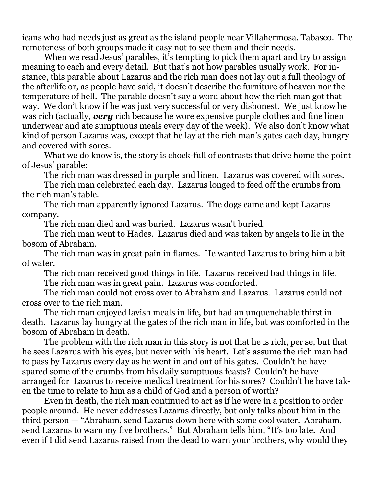icans who had needs just as great as the island people near Villahermosa, Tabasco. The remoteness of both groups made it easy not to see them and their needs.

When we read Jesus' parables, it's tempting to pick them apart and try to assign meaning to each and every detail. But that's not how parables usually work. For instance, this parable about Lazarus and the rich man does not lay out a full theology of the afterlife or, as people have said, it doesn't describe the furniture of heaven nor the temperature of hell. The parable doesn't say a word about how the rich man got that way. We don't know if he was just very successful or very dishonest. We just know he was rich (actually, *very* rich because he wore expensive purple clothes and fine linen underwear and ate sumptuous meals every day of the week). We also don't know what kind of person Lazarus was, except that he lay at the rich man's gates each day, hungry and covered with sores.

What we do know is, the story is chock-full of contrasts that drive home the point of Jesus' parable:

The rich man was dressed in purple and linen. Lazarus was covered with sores.

 The rich man celebrated each day. Lazarus longed to feed off the crumbs from the rich man's table.

 The rich man apparently ignored Lazarus. The dogs came and kept Lazarus company.

The rich man died and was buried. Lazarus wasn't buried.

 The rich man went to Hades. Lazarus died and was taken by angels to lie in the bosom of Abraham.

 The rich man was in great pain in flames. He wanted Lazarus to bring him a bit of water.

The rich man received good things in life. Lazarus received bad things in life.

The rich man was in great pain. Lazarus was comforted.

 The rich man could not cross over to Abraham and Lazarus. Lazarus could not cross over to the rich man.

 The rich man enjoyed lavish meals in life, but had an unquenchable thirst in death. Lazarus lay hungry at the gates of the rich man in life, but was comforted in the bosom of Abraham in death.

 The problem with the rich man in this story is not that he is rich, per se, but that he sees Lazarus with his eyes, but never with his heart. Let's assume the rich man had to pass by Lazarus every day as he went in and out of his gates. Couldn't he have spared some of the crumbs from his daily sumptuous feasts? Couldn't he have arranged for Lazarus to receive medical treatment for his sores? Couldn't he have taken the time to relate to him as a child of God and a person of worth?

 Even in death, the rich man continued to act as if he were in a position to order people around. He never addresses Lazarus directly, but only talks about him in the third person — "Abraham, send Lazarus down here with some cool water. Abraham, send Lazarus to warn my five brothers." But Abraham tells him, "It's too late. And even if I did send Lazarus raised from the dead to warn your brothers, why would they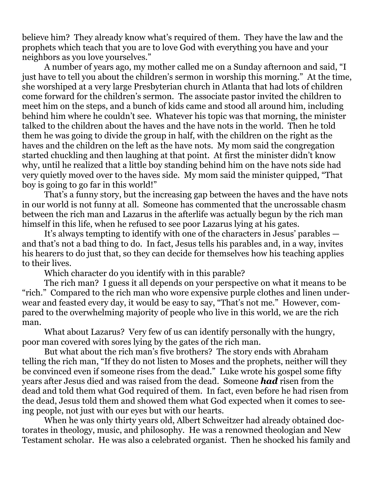believe him? They already know what's required of them. They have the law and the prophets which teach that you are to love God with everything you have and your neighbors as you love yourselves."

 A number of years ago, my mother called me on a Sunday afternoon and said, "I just have to tell you about the children's sermon in worship this morning." At the time, she worshiped at a very large Presbyterian church in Atlanta that had lots of children come forward for the children's sermon. The associate pastor invited the children to meet him on the steps, and a bunch of kids came and stood all around him, including behind him where he couldn't see. Whatever his topic was that morning, the minister talked to the children about the haves and the have nots in the world. Then he told them he was going to divide the group in half, with the children on the right as the haves and the children on the left as the have nots. My mom said the congregation started chuckling and then laughing at that point. At first the minister didn't know why, until he realized that a little boy standing behind him on the have nots side had very quietly moved over to the haves side. My mom said the minister quipped, "That boy is going to go far in this world!"

 That's a funny story, but the increasing gap between the haves and the have nots in our world is not funny at all. Someone has commented that the uncrossable chasm between the rich man and Lazarus in the afterlife was actually begun by the rich man himself in this life, when he refused to see poor Lazarus lying at his gates.

 It's always tempting to identify with one of the characters in Jesus' parables and that's not a bad thing to do. In fact, Jesus tells his parables and, in a way, invites his hearers to do just that, so they can decide for themselves how his teaching applies to their lives.

Which character do you identify with in this parable?

 The rich man? I guess it all depends on your perspective on what it means to be "rich." Compared to the rich man who wore expensive purple clothes and linen underwear and feasted every day, it would be easy to say, "That's not me." However, compared to the overwhelming majority of people who live in this world, we are the rich man.

 What about Lazarus? Very few of us can identify personally with the hungry, poor man covered with sores lying by the gates of the rich man.

 But what about the rich man's five brothers? The story ends with Abraham telling the rich man, "If they do not listen to Moses and the prophets, neither will they be convinced even if someone rises from the dead." Luke wrote his gospel some fifty years after Jesus died and was raised from the dead. Someone *had* risen from the dead and told them what God required of them. In fact, even before he had risen from the dead, Jesus told them and showed them what God expected when it comes to seeing people, not just with our eyes but with our hearts.

 When he was only thirty years old, Albert Schweitzer had already obtained doctorates in theology, music, and philosophy. He was a renowned theologian and New Testament scholar. He was also a celebrated organist. Then he shocked his family and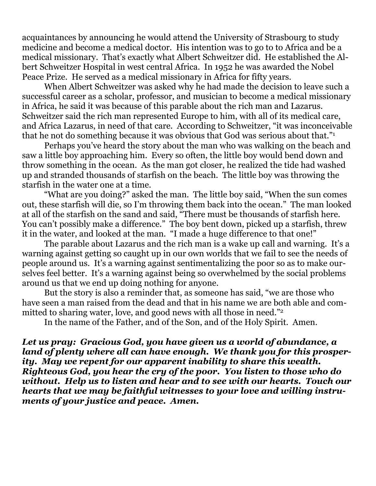acquaintances by announcing he would attend the University of Strasbourg to study medicine and become a medical doctor. His intention was to go to to Africa and be a medical missionary. That's exactly what Albert Schweitzer did. He established the Albert Schweitzer Hospital in west central Africa. In 1952 he was awarded the Nobel Peace Prize. He served as a medical missionary in Africa for fifty years.

 When Albert Schweitzer was asked why he had made the decision to leave such a successful career as a scholar, professor, and musician to become a medical missionary in Africa, he said it was because of this parable about the rich man and Lazarus. Schweitzer said the rich man represented Europe to him, with all of its medical care, and Africa Lazarus, in need of that care. According to Schweitzer, "it was inconceivable that he not do something because it was obvious that God was serious about that."1

 Perhaps you've heard the story about the man who was walking on the beach and saw a little boy approaching him. Every so often, the little boy would bend down and throw something in the ocean. As the man got closer, he realized the tide had washed up and stranded thousands of starfish on the beach. The little boy was throwing the starfish in the water one at a time.

 "What are you doing?" asked the man. The little boy said, "When the sun comes out, these starfish will die, so I'm throwing them back into the ocean." The man looked at all of the starfish on the sand and said, "There must be thousands of starfish here. You can't possibly make a difference." The boy bent down, picked up a starfish, threw it in the water, and looked at the man. "I made a huge difference to that one!"

 The parable about Lazarus and the rich man is a wake up call and warning. It's a warning against getting so caught up in our own worlds that we fail to see the needs of people around us. It's a warning against sentimentalizing the poor so as to make ourselves feel better. It's a warning against being so overwhelmed by the social problems around us that we end up doing nothing for anyone.

 But the story is also a reminder that, as someone has said, "we are those who have seen a man raised from the dead and that in his name we are both able and committed to sharing water, love, and good news with all those in need."<sup>2</sup>

In the name of the Father, and of the Son, and of the Holy Spirit. Amen.

*Let us pray: Gracious God, you have given us a world of abundance, a land of plenty where all can have enough. We thank you for this prosperity. May we repent for our apparent inability to share this wealth. Righteous God, you hear the cry of the poor. You listen to those who do without. Help us to listen and hear and to see with our hearts. Touch our hearts that we may be faithful witnesses to your love and willing instruments of your justice and peace. Amen.*